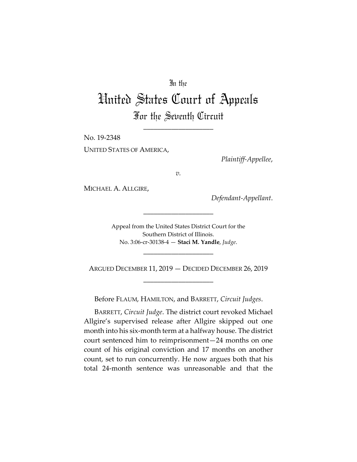## In the

## United States Court of Appeals For the Seventh Circuit

\_\_\_\_\_\_\_\_\_\_\_\_\_\_\_\_\_\_\_\_

No. 19-2348

UNITED STATES OF AMERICA,

*Plaintiff-Appellee*,

*v.*

MICHAEL A. ALLGIRE,

*Defendant-Appellant*.

Appeal from the United States District Court for the Southern District of Illinois. No. 3:06-cr-30138-4 — **Staci M. Yandle**, *Judge*.

\_\_\_\_\_\_\_\_\_\_\_\_\_\_\_\_\_\_\_\_

\_\_\_\_\_\_\_\_\_\_\_\_\_\_\_\_\_\_\_\_

ARGUED DECEMBER 11, 2019 — DECIDED DECEMBER 26, 2019 \_\_\_\_\_\_\_\_\_\_\_\_\_\_\_\_\_\_\_\_

Before FLAUM, HAMILTON, and BARRETT, *Circuit Judges*.

BARRETT, *Circuit Judge*. The district court revoked Michael Allgire's supervised release after Allgire skipped out one month into his six-month term at a halfway house. The district court sentenced him to reimprisonment—24 months on one count of his original conviction and 17 months on another count, set to run concurrently. He now argues both that his total 24-month sentence was unreasonable and that the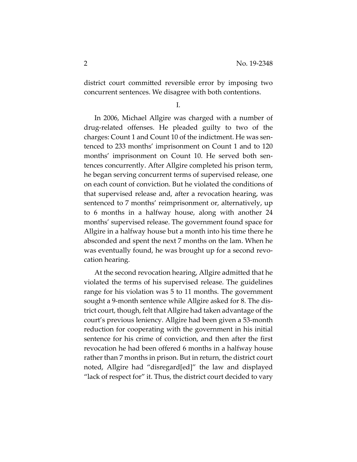district court committed reversible error by imposing two concurrent sentences. We disagree with both contentions.

I.

In 2006, Michael Allgire was charged with a number of drug-related offenses. He pleaded guilty to two of the charges: Count 1 and Count 10 of the indictment. He was sentenced to 233 months' imprisonment on Count 1 and to 120 months' imprisonment on Count 10. He served both sentences concurrently. After Allgire completed his prison term, he began serving concurrent terms of supervised release, one on each count of conviction. But he violated the conditions of that supervised release and, after a revocation hearing, was sentenced to 7 months' reimprisonment or, alternatively, up to 6 months in a halfway house, along with another 24 months' supervised release. The government found space for Allgire in a halfway house but a month into his time there he absconded and spent the next 7 months on the lam. When he was eventually found, he was brought up for a second revocation hearing.

At the second revocation hearing, Allgire admitted that he violated the terms of his supervised release. The guidelines range for his violation was 5 to 11 months. The government sought a 9-month sentence while Allgire asked for 8. The district court, though, felt that Allgire had taken advantage of the court's previous leniency. Allgire had been given a 53-month reduction for cooperating with the government in his initial sentence for his crime of conviction, and then after the first revocation he had been offered 6 months in a halfway house rather than 7 months in prison. But in return, the district court noted, Allgire had "disregard[ed]" the law and displayed "lack of respect for" it. Thus, the district court decided to vary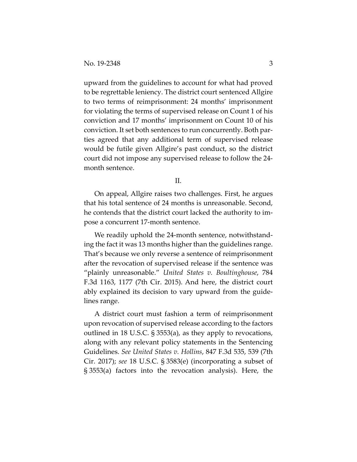upward from the guidelines to account for what had proved to be regrettable leniency. The district court sentenced Allgire to two terms of reimprisonment: 24 months' imprisonment for violating the terms of supervised release on Count 1 of his conviction and 17 months' imprisonment on Count 10 of his conviction. It set both sentences to run concurrently. Both parties agreed that any additional term of supervised release would be futile given Allgire's past conduct, so the district court did not impose any supervised release to follow the 24 month sentence.

II.

On appeal, Allgire raises two challenges. First, he argues that his total sentence of 24 months is unreasonable. Second, he contends that the district court lacked the authority to impose a concurrent 17-month sentence.

We readily uphold the 24-month sentence, notwithstanding the fact it was 13 months higher than the guidelines range. That's because we only reverse a sentence of reimprisonment after the revocation of supervised release if the sentence was "plainly unreasonable." *United States v. Boultinghouse*, 784 F.3d 1163, 1177 (7th Cir. 2015). And here, the district court ably explained its decision to vary upward from the guidelines range.

A district court must fashion a term of reimprisonment upon revocation of supervised release according to the factors outlined in 18 U.S.C. § 3553(a), as they apply to revocations, along with any relevant policy statements in the Sentencing Guidelines. *See United States v. Hollins*, 847 F.3d 535, 539 (7th Cir. 2017); *see* 18 U.S.C. § 3583(e) (incorporating a subset of § 3553(a) factors into the revocation analysis). Here, the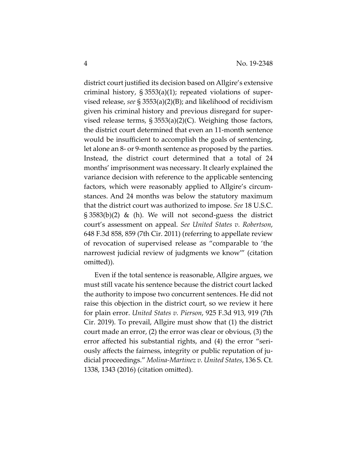district court justified its decision based on Allgire's extensive criminal history, § 3553(a)(1); repeated violations of supervised release, *see* § 3553(a)(2)(B); and likelihood of recidivism given his criminal history and previous disregard for supervised release terms,  $\S 3553(a)(2)(C)$ . Weighing those factors, the district court determined that even an 11-month sentence would be insufficient to accomplish the goals of sentencing, let alone an 8- or 9-month sentence as proposed by the parties. Instead, the district court determined that a total of 24 months' imprisonment was necessary. It clearly explained the variance decision with reference to the applicable sentencing factors, which were reasonably applied to Allgire's circumstances. And 24 months was below the statutory maximum that the district court was authorized to impose. *See* 18 U.S.C. § 3583(b)(2) & (h). We will not second-guess the district court's assessment on appeal. *See United States v. Robertson*, 648 F.3d 858, 859 (7th Cir. 2011) (referring to appellate review of revocation of supervised release as "comparable to 'the narrowest judicial review of judgments we know'" (citation omitted)).

Even if the total sentence is reasonable, Allgire argues, we must still vacate his sentence because the district court lacked the authority to impose two concurrent sentences. He did not raise this objection in the district court, so we review it here for plain error. *United States v. Pierson*, 925 F.3d 913, 919 (7th Cir. 2019). To prevail, Allgire must show that (1) the district court made an error, (2) the error was clear or obvious, (3) the error affected his substantial rights, and (4) the error "seriously affects the fairness, integrity or public reputation of judicial proceedings." *Molina-Martinez v. United States*, 136 S. Ct. 1338, 1343 (2016) (citation omitted).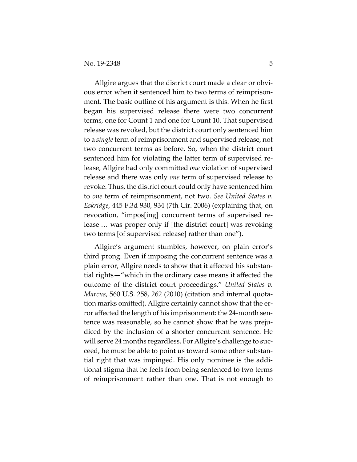Allgire argues that the district court made a clear or obvious error when it sentenced him to two terms of reimprisonment. The basic outline of his argument is this: When he first began his supervised release there were two concurrent terms, one for Count 1 and one for Count 10. That supervised release was revoked, but the district court only sentenced him to a *single* term of reimprisonment and supervised release, not two concurrent terms as before. So, when the district court sentenced him for violating the latter term of supervised release, Allgire had only committed *one* violation of supervised release and there was only *one* term of supervised release to revoke. Thus, the district court could only have sentenced him to *one* term of reimprisonment, not two. *See United States v. Eskridge*, 445 F.3d 930, 934 (7th Cir. 2006) (explaining that, on revocation, "impos[ing] concurrent terms of supervised release … was proper only if [the district court] was revoking two terms [of supervised release] rather than one").

Allgire's argument stumbles, however, on plain error's third prong. Even if imposing the concurrent sentence was a plain error, Allgire needs to show that it affected his substantial rights—"which in the ordinary case means it affected the outcome of the district court proceedings." *United States v. Marcus*, 560 U.S. 258, 262 (2010) (citation and internal quotation marks omitted). Allgire certainly cannot show that the error affected the length of his imprisonment: the 24-month sentence was reasonable, so he cannot show that he was prejudiced by the inclusion of a shorter concurrent sentence. He will serve 24 months regardless. For Allgire's challenge to succeed, he must be able to point us toward some other substantial right that was impinged. His only nominee is the additional stigma that he feels from being sentenced to two terms of reimprisonment rather than one. That is not enough to